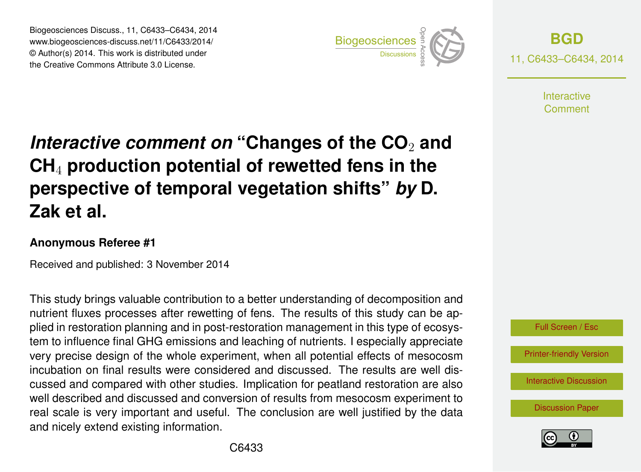Biogeosciences Discuss., 11, C6433–C6434, 2014 www.biogeosciences-discuss.net/11/C6433/2014/ © Author(s) 2014. This work is distributed under Biogeosciences Discuss., 11, C6433–C6434, 2014<br>www.biogeosciences-discuss.net/11/C6433/2014/<br>© Author(s) 2014. This work is distributed under<br>the Creative Commons Attribute 3.0 License.



**[BGD](http://www.biogeosciences-discuss.net)** 11, C6433–C6434, 2014

> Interactive Comment

## *Interactive comment on* "Changes of the CO<sub>2</sub> and **CH**<sup>4</sup> **production potential of rewetted fens in the perspective of temporal vegetation shifts"** *by* **D. Zak et al.**

## **Anonymous Referee #1**

Received and published: 3 November 2014

This study brings valuable contribution to a better understanding of decomposition and nutrient fluxes processes after rewetting of fens. The results of this study can be applied in restoration planning and in post-restoration management in this type of ecosystem to influence final GHG emissions and leaching of nutrients. I especially appreciate very precise design of the whole experiment, when all potential effects of mesocosm incubation on final results were considered and discussed. The results are well discussed and compared with other studies. Implication for peatland restoration are also well described and discussed and conversion of results from mesocosm experiment to real scale is very important and useful. The conclusion are well justified by the data and nicely extend existing information.